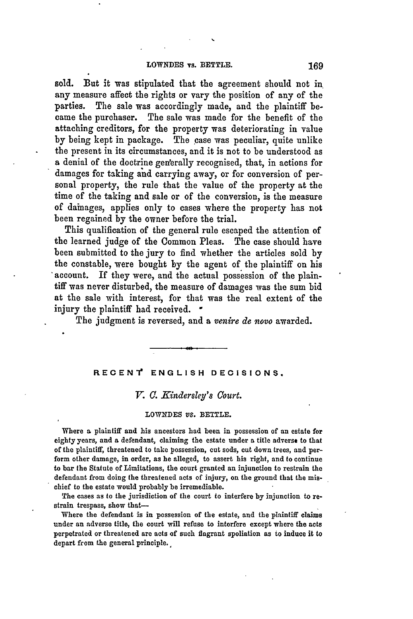sold. But it was stipulated that the agreement should not in any measure affect the rights or vary the position of any of the parties. The sale was accordingly made, and the plaintiff became the purchaser. The sale was made for the benefit of the attaching creditors, for the property was deteriorating in value **by** being kept in package. The case was peculiar, quite unlike the present in its circumstances, and it is not to be understood as a denial of the doctrine gen'erally recognised, that, in actions for damages for taking and carrying away, or for conversion of personal property, the rule that the value of the property at the time of the taking and sale or of the conversion, is the measure of dainages, applies only to cases where the property has not been regained **by** the owner before the trial.

This qualification of the general rule escaped the attention of the learned judge of the Common Pleas. The case should have been submitted to the jury to find whether the articles sold **by** the constable, were bought **by** the agent of the plaintiff on his account. If they were, and the actual possession of the plaintiff was never disturbed, the measure of damages was the sum bid at the sale with interest, for that was the real extent of the injury the plaintiff had received. **I**

The judgment is reversed, and a *venire de novo* awarded.

# **RECEN-i ENGLISH DECISIONS.**

# *V. C. Kindersley's Court.*

#### **LOWNDES** *VS.* BETTLE.

Where **a** plaintiff and his ancestors had been in possession of an estate for eighty years, and a defendant, claiming the estate under a title adverse to that of the plaintiff, threatened to take possession, cut sods, **cut** down trees, and perform other damage, in order, as he alleged, to assert his right, and to continue to bar the Statute of Limitations, the court granted an injunction to restrain the defendant from doing the threatened acts of injury, on the ground that the mischief to the estate would probably be irremediable.

The cases as to the jurisdiction of the court to interfere **by** injunction to restrain trespass, show that-

Where the defendant is in possession of the estate, and the plaintiff claims under an adverse title, the court will refuse to interfere except where the acts perpetrated or threatened are acts of such flagrant spoliation as to induce it to depart from the general principle.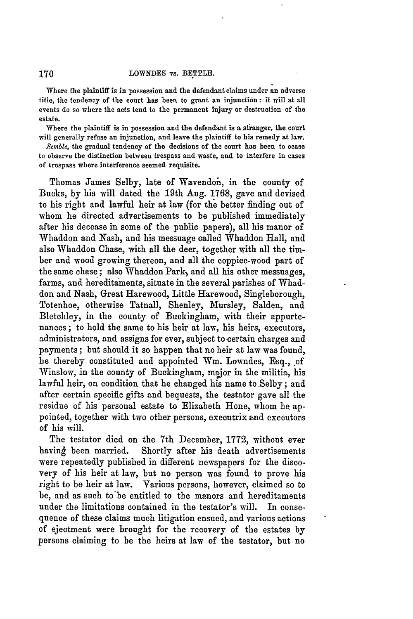Where the plaintiff is in possession **and** the defendant claims under an adverse title, the tendency of the court has been to grant an injunction **:** it will at all events do so where the acts tend to the permanent injury or destruction of the estate.

Where the plaintiff is in possession and the defendant is a stranger, the court will generally refuse an injunction, **and** leave the plaintiff to his remedy at law.

*Semble,* the gradual tendency of the decisions of the court has been to cease to observe the distinction between trespass and waste, and to interfere in cases of trespass where interference seemed requisite.

Thomas James Selby, late of Wavendon, in the county of Bucks, by his will dated the 19th Aug. 1768, gave and devised to his right and lawful heir at law (for the better finding out of whom he directed advertisements to be published immediately after his decease in some of the public papers), all his manor of Whaddon and Nash, and his messuage called Whaddon Hall, and also Whaddon Chase, with all the deer, together with all the timber and wood growing thereon, and all the coppice-wood part of the same chase; also Whaddon Park, and all his other messuages, farms, and hereditaments, situate in the several parishes of Whaddon and Nash, Great Harewood, Little Harewood, Singleborough, Totenhoe, otherwise Tatnal], Shenley, Mursley, Salden, and Bletchley, in the county of Buckingham, with their appurtenances; to hold the same to his heir at law, his heirs, executors, administrators, and assigns for ever, subject to certain charges and payments; but should it so happen that no heir at law was found, he thereby constituted and appointed Wm. Lowndes, Esq., of Winslow, in the county of Buckingham, major in the militia, his lawful heir, on condition that he changed his name to.Selby; and after certain specific gifts and bequests, the testator gave all the residue of his personal estate to Elizabeth Hone, whom he appointed, together with two other persons, executrix and executors of his will.

The testator died on the 7th December, **1772,** without ever having been married. Shortly after his death advertisements were repeatedly published in different newspapers for the discovery of his heir at law, but no person was found to prove his right to be heir at law. Various persons, however, claimed so to be, and as such to'be entitled to the manors and hereditaments under the limitations contained in the testator's will. In consequence of these claims much litigation ensued, and various actions of ejectment were brought for the recovery of the estates **by** persons claiming to be the heirs at law of the testator, but no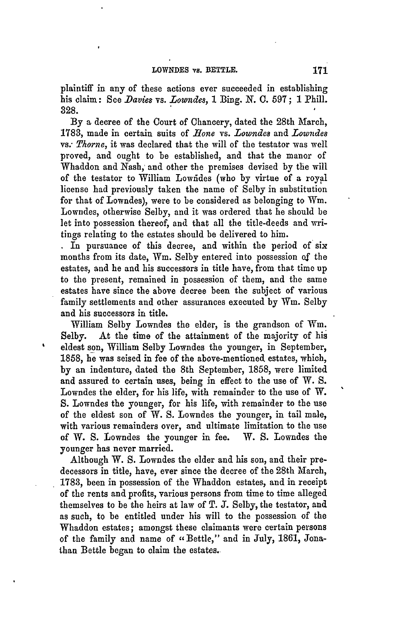plaintiff in any of these actions ever succeeded in establishing his claim: See *Davies* vs. *Lowndes,* **1** Bing. *N.* **0.** 597; **1** Phill. **328.**

**By** a decree of the Court of Chancery, dated the 28th March, 1783, made in certain suits of *Hone* vs. *Lowndes* and *Lowndes* vs.- *Thorne,* it was declared that the will of the testator was well proved, and ought to be established, and that the manor of Whaddon and Nash, and other the premises devised **by** the will of the testator to William Lowfides (who **by** virtue of a royal license had previously taken the name of Selby in substitution for that of Lowndes), were to be considered as belonging to Wm. Lowndes, otherwise Selby, and it was ordered that he should be let into possession thereof, and that all the title-deeds and writings relating to the estates should be delivered to him.

In pursuance of this decree, and within the period of six months from its date, Wm. Selby entered into possession of the estates, and he and his successors in title have, from that time up to the present, remained in possession of them, and the same estates have since the above decree been the subject of various family settlements and other assurances executed **by** Win. Selby and his successors in title.

William Selby Lowndes the elder, is the grandson of Wm. Selby. At the time of the attainment of the majority of his eldest son, William Selby Lowndes the younger, in September, **1858,** he was seised in fee of the above-mentioned estates, which, **by** an indenture, dated the 8th September, **1858,** were limited and assured to certain uses, being in effect to the use of W. **S.** Lowndes the elder, for his life, with remainder to the use of W. **S.** Lowndes the younger, for his life, with remainder to the use of the eldest son of W. **S.** Lowndes the younger, in tail male, with various remainders over, and ultimate limitation to the use of W. **S.** Lowndes the younger in fee. W. **S.** Lowndes the younger has never married.

 $\bullet$ 

Although W. **S.** Lowndes the elder and his son, and their predecessors in title, have, ever since the decree of the 28th March, **1783,** been in possession of the Whaddon estates, and in receipt of the rents and profits, various persons from time to time alleged themselves to be the heirs at law of T. J. Selby, the testator, and as such, to be entitled under his will to the possession of the Whaddon estates; amongst these claimants were certain persons of the family and name of "Bettle," and in July, 1861, Jonathan Bettle began to claim the estates.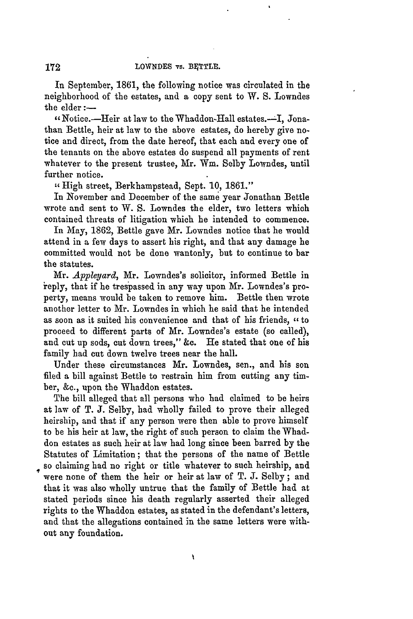In September, 1861, the following notice was circulated in the neighborhood of the estates, and a copy sent to W. S. Lowndes the elder :-

**,** Notice.-Heir at law to the Whaddon-Hall estates.-I, Jonathan Bettle, heir at law to the above estates, do hereby give notice and direct, from the date hereof, that each and every one of the tenants on the above estates do suspend all payments of rent whatever to the present trustee, Mr. Wm. Selby Lowndes, until further notice.

"High street, Berkhampstead, Sept. 10, 1861."

In November and December of the same year Jonathan Bettle wrote and sent to W. S. Lowndes the elder, two letters which contained threats of litigation which he intended to commence.

In May, 1862, Bettle gave Mr. Lowndes notice that he would attend in a few days to assert his right, and that any damage he committed would not be done wantonly, but to continue to bar the statutes.

*Mr. Appleyard,* Mr. Lowndes's solicitor, informed Bettle in reply, that if he trespassed in any way upon Mr. Lowndes's property, means would be taken to remove him. Bettle then wrote another letter to Mr. Lowndes in which he said that he intended as soon as it suited his convenience and that of his friends, **"c** to proceed to different parts of Mr. Lowndes's estate (so called), and cut up sods, cut down trees," &c. He stated that one of his family had **cut** down twelve trees near the hall.

Under these circumstances Mr. Lowndes, sen., and his son filed a bill against Bettle to restrain him from cutting any timber, &c., upon the Whaddon estates.

The bill alleged that all persons who had claimed to be heirs at law of T. **J.** Selby, had wholly failed to prove their alleged heirship, and that if any person were then able to prove himself to be his heir at law, the right of such person to claim the Whaddon estates as such heir at law had long since been barred **by** the Statutes of Limitation ; that the persons of the name of Bettle so claiming had no right or title whatever to such heirship, and were none of them the heir or heir at law of T. J. Selby; and that it was also wholly untrue that the family of Bettle had at stated periods since his death regularly asserted their alleged rights to the Whaddon estates, as stated in the defendant's letters, and that the allegations contained in the same letters were without any foundation.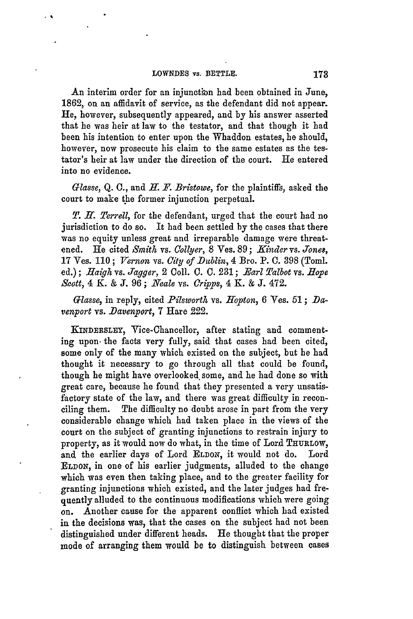An interim order for an injunction had been obtained in June, **1862,** on an affidavit of service, as the defendant did not appear. He, however, subsequently appeared, and by his answer asserted that he was heir at law to the testator, and that though it had been his intention to enter upon the Whaddon estates, he should, however, now prosecute his claim to the same estates as the testator's heir at law under the direction of the court. He entered into no evidence.

*Glasse,* **Q. C.,** and **ff.** *P. Bristowe,* for the plaintiffs, asked the court to make the former injunction perpetual.

*T. I. Terrell,* for the defendant, urged that the court had no jurisdiction to do so. It had been settled **by** the cases that there was no equity unless great and irreparable damage were threatened. He cited *Smith* vs. *Collyer,* 8 Yes. 89 ; *JKinder* vs. *Jones,* **17** Yes. **110** ; *Vernon* vs. *City of Dublin,* 4 Bro. P. **C. 398** (Toml. ed.); *ifaigh* vs. *Jagger,* 2 Coll. **C. 0. 231;** *Earl Talbot* vs. *Rope Scott, 4* K. & J. **96** ; *NPeale* vs. *Cripps, 4* **K.** *&* **J.** 472.

*Glasse,* in reply, cited *Pilsworth* vs. *Hopton,* 6 Yes. *51* ; *Davenport* vs. *Davenport,* **7** Hare 222.

**KINDERSLEY,** Vice-Chancellor, after stating and comment**ing** upon- the facts very fully, said that cases had been cited, some only of the many which existed on the subject, but he had thought it necessary to go through all that could be found, though he might have overlooked, some, and he had done so with great care, because he found that they presented a very unsatisfactory state of the law, and there was great difficulty in reconciling them. The difficulty no doubt arose in part from the very considerable change which had taken place in the views of the court on the subject of granting injunctions to restrain injury to property, as it would now do what, in the time of Lord **THURLOW,** and the earlier days of Lord **ELDON,** it would not do. Lord **ELDON,** in one of his earlier judgments, alluded to the change which was even then taking place, and to the greater facility for granting injunctions which existed, and the later judges had frequently alluded to the continuous modifications which were going on. Another cause for the apparent conflict which had existed in the decisions was, that the cases on the subject had not been distinguished under different heads. He thought that the proper mode of arranging them would be to distinguish between cases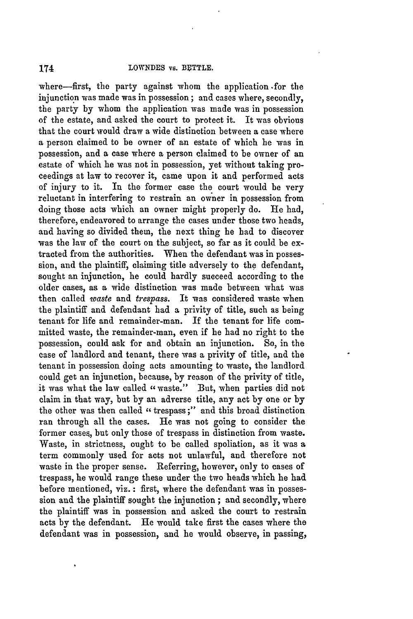where-first, the party against whom the application for the injunction was made was in possession; and cases where, secondly, the party by whom the application was made was in possession of the estate, and asked the court to protect it. It was obvious that the court would draw a wide distinction between a case where a person claimed to be owner of an estate of which he was in possession, and a case where a person claimed to be owner of an estate of which he was not in possession, yet without taking proceedings at law to recover it, came upon it and performed acts of injury to it. In the former case the court would be very reluctant in interfering to restrain an owner in possession from doing those acts which an owner might properly do. He had, therefore, endeavored to arrange the cases under those two heads, and having so divided them, the next thing he had to discover was the law of the court on the subject, so far as it could be extracted from the authorities. When the defendant was in possession, and the plaintiff, claiming title adversely to the defendant, sought an injunction, he could hardly succeed according to the older cases, as a wide distinction was made between what was then called *waste* and *trespass.* It was considered waste when the plaintiff and defendant had a privity of title, such as being tenant for life and remainder-man. If the tenant for life committed waste, the remainder-man, even if he had no right to the possession, could ask for and obtain an injunction. So, in the case of landlord and tenant, there was a privity of title, and the tenant in possession doing acts amounting to waste, the landlord could get an injunction, because, by reason of the privity of title, it was what the law called " waste." But, when parties did not claim in that way, but by an adverse title, any act by one or by the other was then called " trespass;" and this broad distinction ran through all the cases. He was not going to consider the former cases, but only those of trespass in distinction from waste. Waste, in strictness, ought to be called spoliation, as it was a term commonly used for acts not unlawful, and therefore not waste in the proper sense. Referring, however, only to cases of trespass, he would range these under the two heads which he had before mentioned, viz. **:** first, where the defendant was in possession and the plaintiff sought the injunction; and secondly, where the plaintiff was in possession and asked the court to restrain acts by the defendant. He would take first the cases where the defendant was in possession, and he would observe, in passing,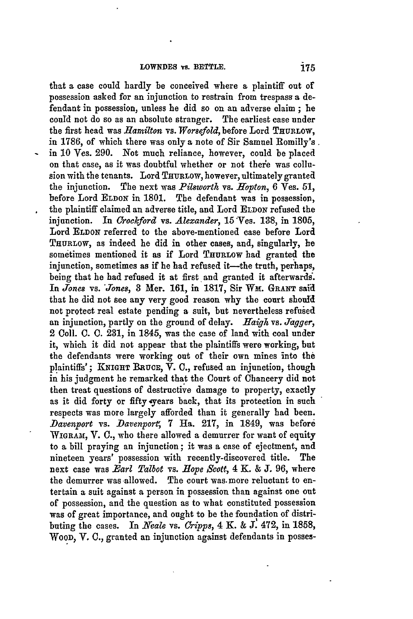that **a** case could hardly be conceived where a plaintiff out of possession asked for an injunction to restrain from trespass a defendant in possession, unless he did so on an adverse claim ; he could not do so as an absolute stranger. The earliest case under the first head was *Hamilton vs. Worsefold*, before Lord THURLOW, in 1786, of which there was only a note of Sir Samuel Romilly's in 10 Ves. 290. Not much reliance, however, could be placed on that case, as it was doubtful whether or not there was collusion with the tenants. Lord **THURLOW,** however, ultimately granted the injunction. The next was *Pilsworth* vs. *Hopton,* 6 Yes. **51,** before Lord **ELDON** in 1801. The defendant was in possession, the plaintiff claimed an adverse title, and Lord **ELDON** refused the injunction. In *Crockford* vs. *Alexander,* 15"Ves. 138, in **1805,** Lord **ELDON** referred to the above-mentioned case before Lord **THURLOW,** as indeed he did in other cases, and, singularly, he sometimes mentioned it as if Lord THURLOW had granted the injunction, sometimes as if he had refused it-the truth, perhaps, being that he had refused it at first and granted it afterwards'. In *Jones* vs. *J'ones, 3* Mer. 161, in 1817, Sir Wm. **GRANT** said that he did not see any very good reason why the court should not protect real estate pending a suit, but nevertheless refused an injunction, partly on the ground of delay. *ffaigh* vs. *Jagger,* 2 Coll. C. C. **231,** in 1845, was the case of land with coal under it, which it did not appear that the plaintiffs were working, but the defendants were working out of their own mines into the plaintiffs'; **KNIGHT BRuCE:,** V. **C.,** refused an injunction, though in his judgment he remarked that the Court of Chancery did not then treat questions of destructive damage to property, exactly as it did forty or fifty years back, that its protection in such respects was more largely afforded than it generally bad been. *Davenport* vs. *Davenport,* **7** Ha. **217,** in 1849, was before **WIGRAM,** V. **C.,** who there allowed a demurrer for want of equity to a bill praying an injunction; it was a case of ejectment, and nineteen years' possession with recently-discovered title. The next case was *Earl Talbot* vs. *Hope Scott*, 4 K. & J. 96, where the demurrer was allowed. The court was. more reluctant to entertain a suit against a person in possession than against one out of possession, and the question as to what constituted possession was of great importance, and ought to be the foundation of distributing the cases. In *Neale* vs. *Crpps,* 4 K. & **J.** 472, in **1858,** WooD, V. **C.,** granted an injunction against defendants in posses-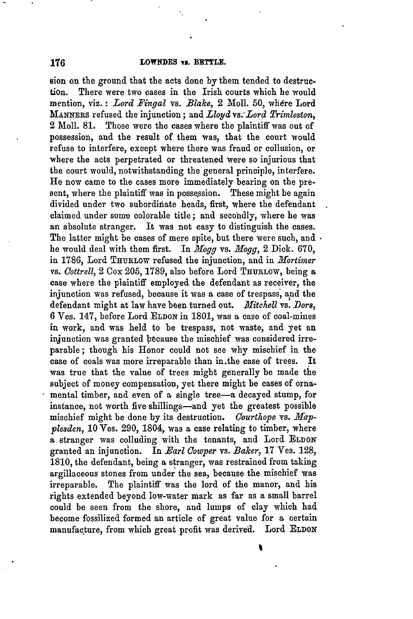### **LOWNDES Yo.** BETTLE.

sion on the ground that the acts done **by** them tended to destruction. There were two cases in the Irish courts which he would mention, viz. **:** *Lord Fingal* vs. *Blake,* 2 Moll. **50,** whdre Lord MANNERS refused the injunction; and *Lloyd vs.-Lord Trimleston,* 2 Moll. **81.** Those were the cases where the plaintiff was out of possession, and the result of them was, that the court would refuse to interfere, except where there was fraud or collusion, or where the acts perpetrated or threatened were so injurious that the court would, notwithstanding the general principle, interfere. He now came to the cases more immediately bearing on the present, where the plaintiff was in possession. These might be again divided under two subordinate heads, first, where the defendant claimed under some colorable title; and secohdly, where he was an absolute stranger. It was not easy to distinguish the cases. The latter might be cases of mere spite, but there were such, and  $\cdot$ he would deal with them first. In *Mogg* vs. *Mogg*, 2 Dick. 670, in 1786, Lord THURLOW refused the injunction, and in *Mortimer* vs. *Cottrell,* 2 Cox **205, 1789,** also before Lord THURLOW, being a case where the plaintiff employed the defendant as receiver, the injunction was refused, because it was a case of trespass, and the defendant might at law have been turned out. *Mitchell vs. Dors*, **6** Yes. 147, before Lord **ELDON** in **1801,** was a case of coal-mines in work, and was held to be trespass, not waste, and yet an injunction was granted because the mischief was considered irreparable; though his Honor could not see why mischief in the case of coals was more irreparable than in.the case of trees. It was true that the value of trees might generally be made **the** subject of money compensation, yet there might be cases of ornamental timber, and even of a single tree-a decayed stump, for instance, not worth five shillings-and yet the greatest possible mischief might be done **by** its destruction. *Courthope* vs. *.Mapplesden,* **10** Yes. 290, 1804, was a case relating to timber, where a stranger was colluding with the tenants, and Lord ELDON granted an injunction. In *Earl Cowper* vs. *Baker,* 17 Yes. 128, 1810, the defendant, being a stranger, was restrained from taking argillaceous stones from under the sea, because the mischief was irreparable. The plaintiff was the lord of the manor, and his rights extended beyond low-water mark as far as a small barrel could be seen from the shore, and lumps of clay which had become fossilized formed an article of great value for a certain manufacture, from which great profit was derived. Lord **ELDON**

### 176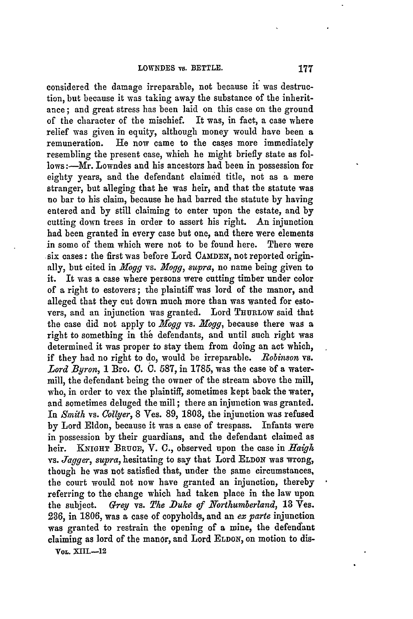considered the damage irreparable, not because it was destruction, but because it was taking away the substance of the inheritance; and great stress has been laid on this case on the ground of the character of the mischief. It was, in fact, a case where relief was given in equity, although money would have been a remuneration. **He** now came to the cases more immediately resembling the present case, which he might briefly state as follows :- Mr. Lowndes and his ancestors had been in possession for eighty years, and the defendant claimed title, not as a mere stranger, but alleging that he was heir, and that the statute was no bar to his claim, because he had barred the statute by having entered and by still claiming to enter upon the estate, and **by** cutting down trees in order to assert his right. An injunction had been granted in every case but one, and there were elements in some of them which were not to be found here. There were six cases: the first was before Lord **CAMDEN,** not reported originally, but cited in *Hfogg* vs. *Mogg, supra,* no name being given to it. It was a case where persons were cutting timber under color of a right to estovers; the plaintiff was lord of the manor, and alleged that they cut down much more than was wanted for estovers, and an injunction was granted. Lord THURLOW said that the case did not apply to *Mogg* vs. *Mogg*, because there was a right to something in the defendants, and until such right was determined it was proper to stay them from doing an act which, if they had no right to do, would be irreparable. *Robinson* vs. Lord Byron, 1 Bro. C. C. 587, in 1785, was the case of a watermill, the defendant being the owner of the stream above the mill, who, in order to vex the plaintiff, sometimes kept back the water, and sometimes deluged the mill; there an injunction was granted. *In Smith* vs. *Collyer,* 8 Ves. 89, **1803,** the injunction was refused by Lord Eldon, because it was a case of trespass. Infants were in possession by their guardians, and the defendant claimed as heir. **KNIGHT BRUCE,** V. **C.,** observed upon the case in *Haigh* vs. *Jagger, supra,* hesitating to say that Lord **ELDON** was wrong, though he was not satisfied that, under the same circumstances, the court would not now have granted an injunction, thereby referring to the change which had taken place in the law upon the subject. *Grey* vs. *The Duke of Northumberland*, 13 Ves. 286, in 1806, was a case of copyholds, and an *ex parte* injunction was granted to restrain the opening of **a** mine, the defendant claiming as lord of the manor, and Lord **ELDON,** on motion to dis-

**VOL.** XIII.-12